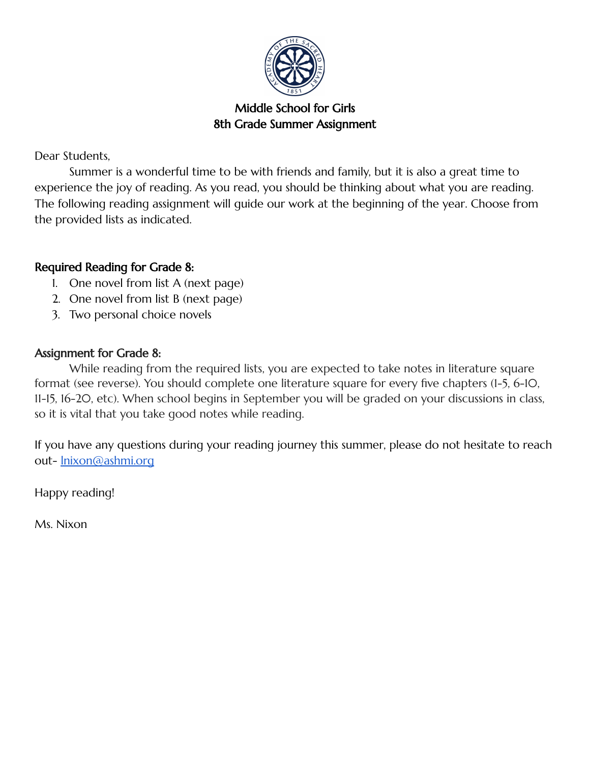

## Middle School for Girls 8th Grade Summer Assignment

Dear Students,

Summer is a wonderful time to be with friends and family, but it is also a great time to experience the joy of reading. As you read, you should be thinking about what you are reading. The following reading assignment will guide our work at the beginning of the year. Choose from the provided lists as indicated.

## Required Reading for Grade 8:

- 1. One novel from list A (next page)
- 2. One novel from list B (next page)
- 3. Two personal choice novels

## Assignment for Grade 8:

While reading from the required lists, you are expected to take notes in literature square format (see reverse). You should complete one literature square for every five chapters (1-5, 6-10, 11-15, 16-20, etc). When school begins in September you will be graded on your discussions in class, so it is vital that you take good notes while reading.

If you have any questions during your reading journey this summer, please do not hesitate to reach out- [lnixon@ashmi.org](mailto:lnixon@ashmi.org)

Happy reading!

Ms. Nixon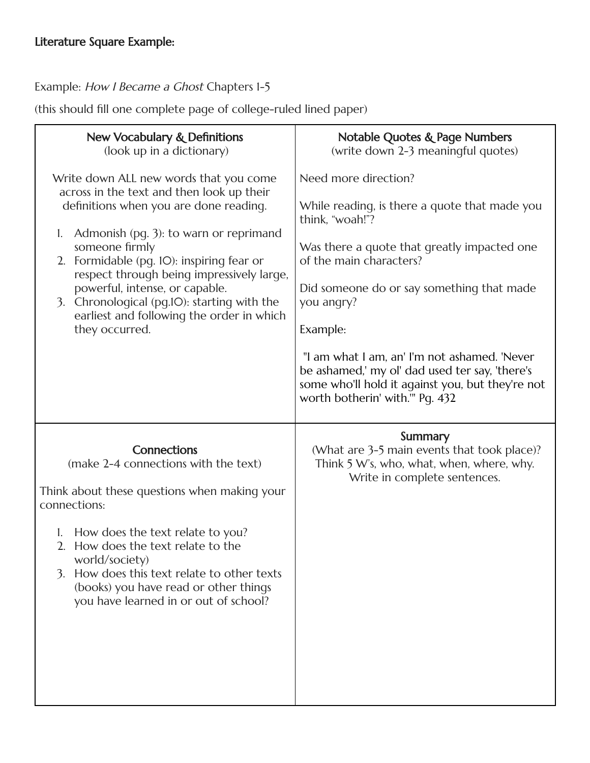Example: How I Became a Ghost Chapters 1-5

(this should fill one complete page of college-ruled lined paper)

| <b>New Vocabulary &amp; Definitions</b><br>(look up in a dictionary)                                                                                                                                                                                                                                                                                                                                                                         | <b>Notable Quotes &amp; Page Numbers</b><br>(write down 2-3 meaningful quotes)                                                                                                                                                                                                                                                                                                                                                     |
|----------------------------------------------------------------------------------------------------------------------------------------------------------------------------------------------------------------------------------------------------------------------------------------------------------------------------------------------------------------------------------------------------------------------------------------------|------------------------------------------------------------------------------------------------------------------------------------------------------------------------------------------------------------------------------------------------------------------------------------------------------------------------------------------------------------------------------------------------------------------------------------|
| Write down ALL new words that you come<br>across in the text and then look up their<br>definitions when you are done reading.<br>Admonish (pg. 3): to warn or reprimand<br>1.<br>someone firmly<br>2. Formidable (pg. IO): inspiring fear or<br>respect through being impressively large,<br>powerful, intense, or capable.<br>Chronological (pg.IO): starting with the<br>3.<br>earliest and following the order in which<br>they occurred. | Need more direction?<br>While reading, is there a quote that made you<br>think, "woah!"?<br>Was there a quote that greatly impacted one<br>of the main characters?<br>Did someone do or say something that made<br>you angry?<br>Example:<br>"I am what I am, an' I'm not ashamed. 'Never<br>be ashamed,' my ol' dad used ter say, 'there's<br>some who'll hold it against you, but they're not<br>worth botherin' with."' Pg. 432 |
| <b>Connections</b><br>(make 2-4 connections with the text)<br>Think about these questions when making your<br>connections:<br>How does the text relate to you?<br>1.<br>2. How does the text relate to the<br>world/society)<br>How does this text relate to other texts<br>3.<br>(books) you have read or other things<br>you have learned in or out of school?                                                                             | Summary<br>(What are 3-5 main events that took place)?<br>Think 5 W's, who, what, when, where, why.<br>Write in complete sentences.                                                                                                                                                                                                                                                                                                |